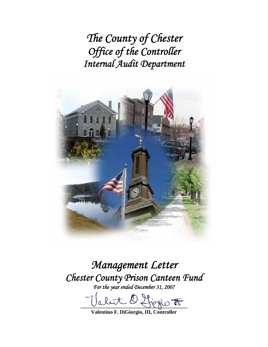*The County of Chester Office of the Controller Internal Audit Department* 



*Management Letter Chester County Prison Canteen Fund For the year ended December 31, 2007* 

alut D. firsio F

**Valentino F. DiGiorgio, III, Controller**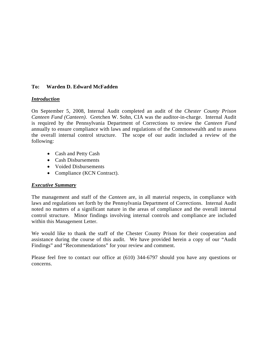## **To: Warden D. Edward McFadden**

#### *Introduction*

On September 5, 2008, Internal Audit completed an audit of the *Chester County Prison Canteen Fund (Canteen)*. Gretchen W. Sohn, CIA was the auditor-in-charge. Internal Audit is required by the Pennsylvania Department of Corrections to review the *Canteen Fund* annually to ensure compliance with laws and regulations of the Commonwealth and to assess the overall internal control structure. The scope of our audit included a review of the following:

- Cash and Petty Cash
- Cash Disbursements
- Voided Disbursements
- Compliance (KCN Contract).

## *Executive Summary*

The management and staff of the *Canteen* are, in all material respects, in compliance with laws and regulations set forth by the Pennsylvania Department of Corrections. Internal Audit noted no matters of a significant nature in the areas of compliance and the overall internal control structure. Minor findings involving internal controls and compliance are included within this Management Letter.

We would like to thank the staff of the Chester County Prison for their cooperation and assistance during the course of this audit. We have provided herein a copy of our "Audit Findings" and "Recommendations" for your review and comment.

Please feel free to contact our office at (610) 344-6797 should you have any questions or concerns.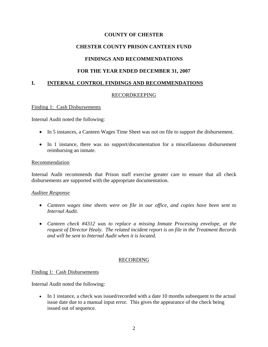# **CHESTER COUNTY PRISON CANTEEN FUND**

# **FINDINGS AND RECOMMENDATIONS**

# **FOR THE YEAR ENDED DECEMBER 31, 2007**

# **I. INTERNAL CONTROL FINDINGS AND RECOMMENDATIONS**

## RECORDKEEPING

#### Finding 1: Cash Disbursements

Internal Audit noted the following:

- In 5 instances, a Canteen Wages Time Sheet was not on file to support the disbursement.
- In 1 instance, there was no support/documentation for a miscellaneous disbursement reimbursing an inmate.

#### Recommendation

Internal Audit recommends that Prison staff exercise greater care to ensure that all check disbursements are supported with the appropriate documentation.

#### *Auditee Response*

- *Canteen wages time sheets were on file in our office, and copies have been sent to Internal Audit.*
- *Canteen check #4312 was to replace a missing Inmate Processing envelope, at the request of Director Healy. The related incident report is on file in the Treatment Records and will be sent to Internal Audit when it is located.*

#### RECORDING

#### Finding 1: Cash Disbursements

Internal Audit noted the following:

• In 1 instance, a check was issued/recorded with a date 10 months subsequent to the actual issue date due to a manual input error. This gives the appearance of the check being issued out of sequence.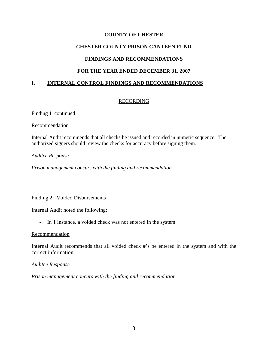# **CHESTER COUNTY PRISON CANTEEN FUND**

# **FINDINGS AND RECOMMENDATIONS**

# **FOR THE YEAR ENDED DECEMBER 31, 2007**

# **I. INTERNAL CONTROL FINDINGS AND RECOMMENDATIONS**

## RECORDING

Finding 1 continued

## Recommendation

Internal Audit recommends that all checks be issued and recorded in numeric sequence. The authorized signers should review the checks for accuracy before signing them.

## *Auditee Response*

*Prison management concurs with the finding and recommendation.* 

## Finding 2: Voided Disbursements

Internal Audit noted the following:

• In 1 instance, a voided check was not entered in the system.

#### Recommendation

Internal Audit recommends that all voided check #'s be entered in the system and with the correct information.

#### *Auditee Response*

*Prison management concurs with the finding and recommendation.*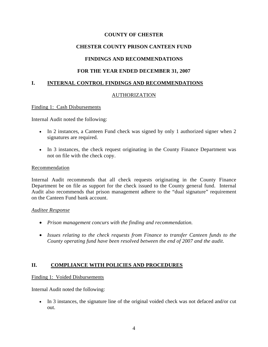# **CHESTER COUNTY PRISON CANTEEN FUND**

# **FINDINGS AND RECOMMENDATIONS**

# **FOR THE YEAR ENDED DECEMBER 31, 2007**

# **I. INTERNAL CONTROL FINDINGS AND RECOMMENDATIONS**

## AUTHORIZATION

#### Finding 1: Cash Disbursements

Internal Audit noted the following:

- In 2 instances, a Canteen Fund check was signed by only 1 authorized signer when 2 signatures are required.
- In 3 instances, the check request originating in the County Finance Department was not on file with the check copy.

#### Recommendation

Internal Audit recommends that all check requests originating in the County Finance Department be on file as support for the check issued to the County general fund. Internal Audit also recommends that prison management adhere to the "dual signature" requirement on the Canteen Fund bank account.

#### *Auditee Response*

- *Prison management concurs with the finding and recommendation.*
- *Issues relating to the check requests from Finance to transfer Canteen funds to the County operating fund have been resolved between the end of 2007 and the audit.*

## **II. COMPLIANCE WITH POLICIES AND PROCEDURES**

#### Finding 1: Voided Disbursements

Internal Audit noted the following:

• In 3 instances, the signature line of the original voided check was not defaced and/or cut out.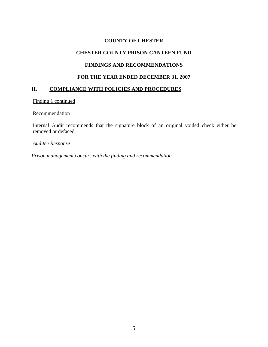#### **CHESTER COUNTY PRISON CANTEEN FUND**

## **FINDINGS AND RECOMMENDATIONS**

## **FOR THE YEAR ENDED DECEMBER 31, 2007**

## **II. COMPLIANCE WITH POLICIES AND PROCEDURES**

Finding 1 continued

#### **Recommendation**

Internal Audit recommends that the signature block of an original voided check either be removed or defaced.

## *Auditee Response*

*Prison management concurs with the finding and recommendation.*